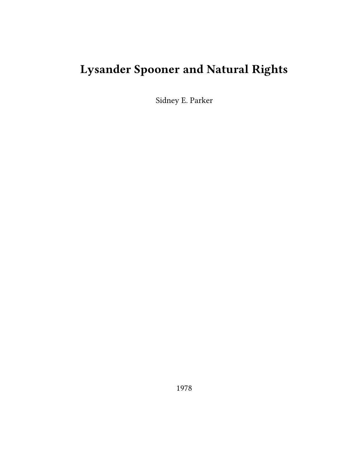## **Lysander Spooner and Natural Rights**

Sidney E. Parker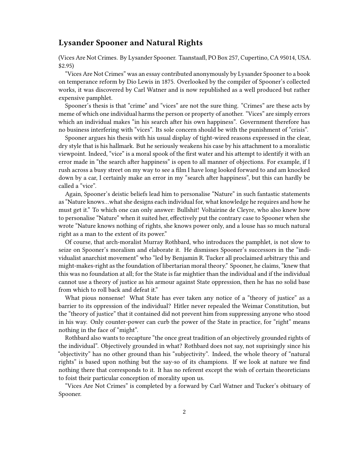## **Lysander Spooner and Natural Rights**

(Vices Are Not Crimes. By Lysander Spooner. Taanstaafl, PO Box 257, Cupertino, CA 95014, USA. \$2.95)

"Vices Are Not Crimes" was an essay contributed anonymously by Lysander Spooner to a book on temperance reform by Dio Lewis in 1875. Overlooked by the compiler of Spooner's collected works, it was discovered by Carl Watner and is now republished as a well produced but rather expensive pamphlet.

Spooner's thesis is that "crime" and "vices" are not the sure thing. "Crimes" are these acts by meme of which one individual harms the person or property of another. "Vices" are simply errors which an individual makes "in his search after his own happiness". Government therefore has no business interfering with "vices". Its sole concern should be with the punishment of "crisis".

Spooner argues his thesis with his usual display of tight-wired reasons expressed in the clear, dry style that is his hallmark. But he seriously weakens his case by his attachment to a moralistic viewpoint. Indeed, "vice" is a moral spook of the first water and his attempt to identify it with an error made in "the search after happiness" is open to all manner of objections. For example, if I rush across a busy street on my way to see a film I have long looked forward to and am knocked down by a car, I certainly make an error in my "search after happiness", but this can hardly be called a "vice".

Again, Spooner's deistic beliefs lead him to personalise "Nature" in such fantastic statements as "Nature knows…what she designs each individual for, what knowledge he requires and how he must get it." To which one can only answer: Bullshit! Voltairine de Cleyre, who also knew how to personalise "Nature" when it suited her, effectively put the contrary case to Spooner when she wrote "Nature knows nothing of rights, she knows power only, and a louse has so much natural right as a man to the extent of its power."

Of course, that arch-moralist Murray Rothbard, who introduces the pamphlet, is not slow to seize on Spooner's moralism and elaborate it. He dismisses Spooner's successors in the "individualist anarchist movement" who "led by Benjamin R. Tucker all proclaimed arbitrary this and might-makes-right as the foundation of libertarian moral theory." Spooner, he claims, "knew that this was no foundation at all; for the State is far mightier than the individual and if the individual cannot use a theory of justice as his armour against State oppression, then he has no solid base from which to roll back and defeat it."

What pious nonsense! What State has ever taken any notice of a "theory of justice" as a barrier to its oppression of the individual? Hitler never repealed the Weimar Constitution, but the "theory of justice" that it contained did not prevent him from suppressing anyone who stood in his way. Only counter-power can curb the power of the State in practice, for "right" means nothing in the face of "might".

Rothbard also wants to recapture "the once great tradition of an objectively grounded rights of the individual". Objectively grounded in what? Rothbard does not say, not suprisingly since his "objectivity" has no other ground than his "subjectivity". Indeed, the whole theory of "natural rights" is based upon nothing but the say-so of its champions. If we look at nature we find nothing there that corresponds to it. It has no referent except the wish of certain theoreticians to foist their particular conception of morality upon us.

"Vices Are Not Crimes" is completed by a forward by Carl Watner and Tucker's obituary of Spooner.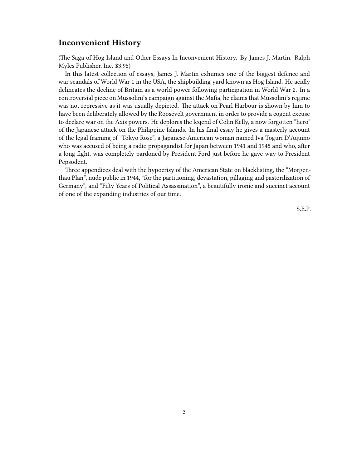## **Inconvenient History**

(The Saga of Hog Island and Other Essays In Inconvenient History. By James J. Martin. Ralph Myles Publisher, Inc. \$3.95)

In this latest collection of essays, James J. Martin exhumes one of the biggest defence and war scandals of World War 1 in the USA, the shipbuilding yard known as Hog Island. He acidly delineates the decline of Britain as a world power following participation in World War 2. In a controversial piece on Mussolini's campaign against the Mafia, he claims that Mussolini's regime was not repressive as it was usually depicted. The attack on Pearl Harbour is shown by him to have been deliberately allowed by the Roosevelt government in order to provide a cogent excuse to declare war on the Axis powers. He deplores the leqend of Colin Kelly, a now forgotten "hero" of the Japanese attack on the Philippine Islands. In his final essay he gives a masterly account of the legal framing of "Tokyo Rose", a Japanese-American woman named Iva Toguri D'Aquino who was accused of being a radio propagandist for Japan between 1941 and 1945 and who, after a long fight, was completely pardoned by President Ford just before he gave way to President Pepsodent.

Three appendices deal with the hypocrisy of the American State on blacklisting, the "Morgenthau Plan", nude public in 1944, "for the partitioning, devastation, pillaging and pastorilization of Germany", and "Fifty Years of Political Assassination", a beautifully ironic and succinct account of one of the expanding industries of our time.